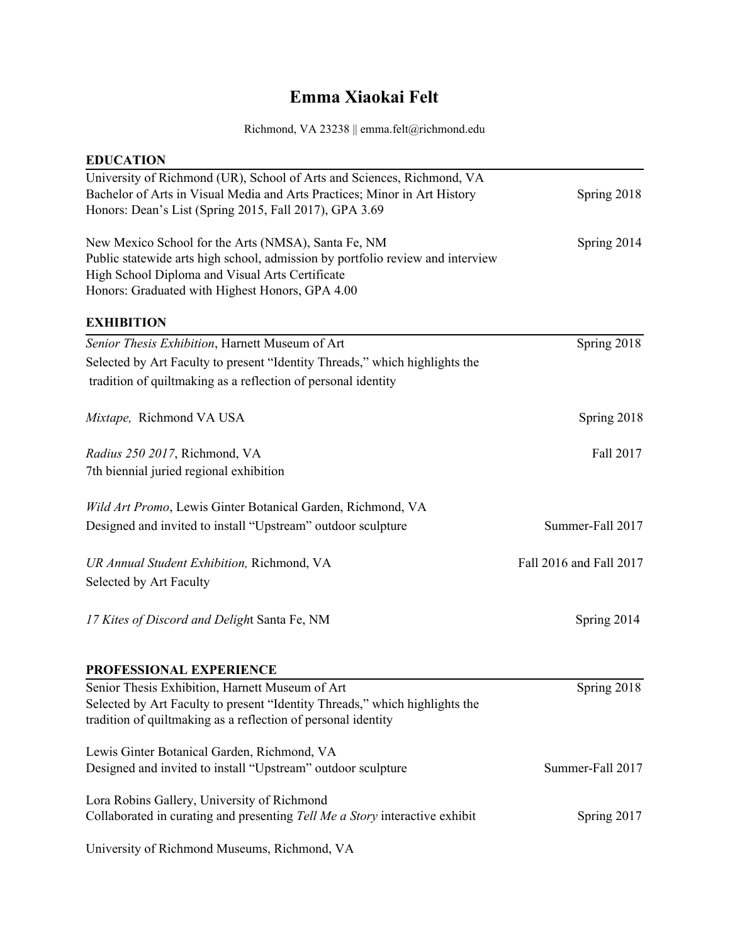## **Emma Xiaokai Felt**

## Richmond, VA 23238 || [emma.felt@richmond.edu](mailto:Emma_Felt@yahoo.com)

| <b>EDUCATION</b>                                                               |                         |
|--------------------------------------------------------------------------------|-------------------------|
| University of Richmond (UR), School of Arts and Sciences, Richmond, VA         |                         |
| Bachelor of Arts in Visual Media and Arts Practices; Minor in Art History      | Spring 2018             |
| Honors: Dean's List (Spring 2015, Fall 2017), GPA 3.69                         |                         |
| New Mexico School for the Arts (NMSA), Santa Fe, NM                            | Spring 2014             |
| Public statewide arts high school, admission by portfolio review and interview |                         |
| High School Diploma and Visual Arts Certificate                                |                         |
| Honors: Graduated with Highest Honors, GPA 4.00                                |                         |
| <b>EXHIBITION</b>                                                              |                         |
| Senior Thesis Exhibition, Harnett Museum of Art                                | Spring 2018             |
| Selected by Art Faculty to present "Identity Threads," which highlights the    |                         |
| tradition of quiltmaking as a reflection of personal identity                  |                         |
| Mixtape, Richmond VA USA                                                       | Spring 2018             |
| Radius 250 2017, Richmond, VA                                                  | Fall 2017               |
| 7th biennial juried regional exhibition                                        |                         |
| Wild Art Promo, Lewis Ginter Botanical Garden, Richmond, VA                    |                         |
| Designed and invited to install "Upstream" outdoor sculpture                   | Summer-Fall 2017        |
| UR Annual Student Exhibition, Richmond, VA                                     | Fall 2016 and Fall 2017 |
| Selected by Art Faculty                                                        |                         |
| 17 Kites of Discord and Delight Santa Fe, NM                                   | Spring 2014             |
|                                                                                |                         |
| PROFESSIONAL EXPERIENCE                                                        |                         |
| Senior Thesis Exhibition, Harnett Museum of Art                                | Spring 2018             |
| Selected by Art Faculty to present "Identity Threads," which highlights the    |                         |
| tradition of quiltmaking as a reflection of personal identity                  |                         |
| Lewis Ginter Botanical Garden, Richmond, VA                                    |                         |
| Designed and invited to install "Upstream" outdoor sculpture                   | Summer-Fall 2017        |
| Lora Robins Gallery, University of Richmond                                    |                         |
| Collaborated in curating and presenting Tell Me a Story interactive exhibit    | Spring 2017             |
| University of Richmond Museums, Richmond, VA                                   |                         |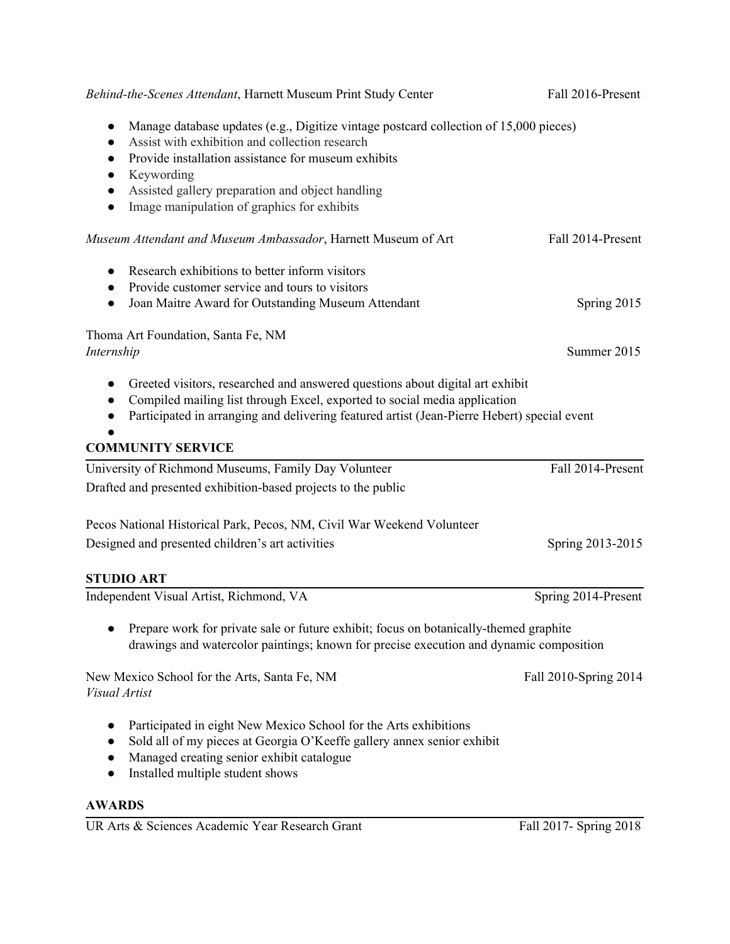| Behind-the-Scenes Attendant, Harnett Museum Print Study Center                                                                                                                                                                                                                                                                                                                                | Fall 2016-Present     |
|-----------------------------------------------------------------------------------------------------------------------------------------------------------------------------------------------------------------------------------------------------------------------------------------------------------------------------------------------------------------------------------------------|-----------------------|
| Manage database updates (e.g., Digitize vintage postcard collection of 15,000 pieces)<br>$\bullet$<br>Assist with exhibition and collection research<br>$\bullet$<br>Provide installation assistance for museum exhibits<br>$\bullet$<br>Keywording<br>$\bullet$<br>Assisted gallery preparation and object handling<br>$\bullet$<br>Image manipulation of graphics for exhibits<br>$\bullet$ |                       |
| Museum Attendant and Museum Ambassador, Harnett Museum of Art                                                                                                                                                                                                                                                                                                                                 | Fall 2014-Present     |
| Research exhibitions to better inform visitors<br>$\bullet$<br>Provide customer service and tours to visitors<br>$\bullet$<br>Joan Maitre Award for Outstanding Museum Attendant<br>$\bullet$                                                                                                                                                                                                 | Spring 2015           |
| Thoma Art Foundation, Santa Fe, NM<br>Internship                                                                                                                                                                                                                                                                                                                                              | Summer 2015           |
| Greeted visitors, researched and answered questions about digital art exhibit<br>$\bullet$<br>Compiled mailing list through Excel, exported to social media application<br>$\bullet$<br>Participated in arranging and delivering featured artist (Jean-Pierre Hebert) special event                                                                                                           |                       |
| <b>COMMUNITY SERVICE</b>                                                                                                                                                                                                                                                                                                                                                                      |                       |
| University of Richmond Museums, Family Day Volunteer                                                                                                                                                                                                                                                                                                                                          | Fall 2014-Present     |
| Drafted and presented exhibition-based projects to the public                                                                                                                                                                                                                                                                                                                                 |                       |
| Pecos National Historical Park, Pecos, NM, Civil War Weekend Volunteer                                                                                                                                                                                                                                                                                                                        |                       |
| Designed and presented children's art activities                                                                                                                                                                                                                                                                                                                                              | Spring 2013-2015      |
| <b>STUDIO ART</b>                                                                                                                                                                                                                                                                                                                                                                             |                       |
| Independent Visual Artist, Richmond, VA                                                                                                                                                                                                                                                                                                                                                       | Spring 2014-Present   |
| Prepare work for private sale or future exhibit; focus on botanically-themed graphite<br>drawings and watercolor paintings; known for precise execution and dynamic composition                                                                                                                                                                                                               |                       |
| New Mexico School for the Arts, Santa Fe, NM<br>Visual Artist                                                                                                                                                                                                                                                                                                                                 | Fall 2010-Spring 2014 |
| Participated in eight New Mexico School for the Arts exhibitions<br>$\bullet$<br>Sold all of my pieces at Georgia O'Keeffe gallery annex senior exhibit<br>$\bullet$<br>Managed creating senior exhibit catalogue<br>$\bullet$<br>Installed multiple student shows                                                                                                                            |                       |

## **AWARDS**

UR Arts & Sciences Academic Year Research Grant Fall 2017- Spring 2018